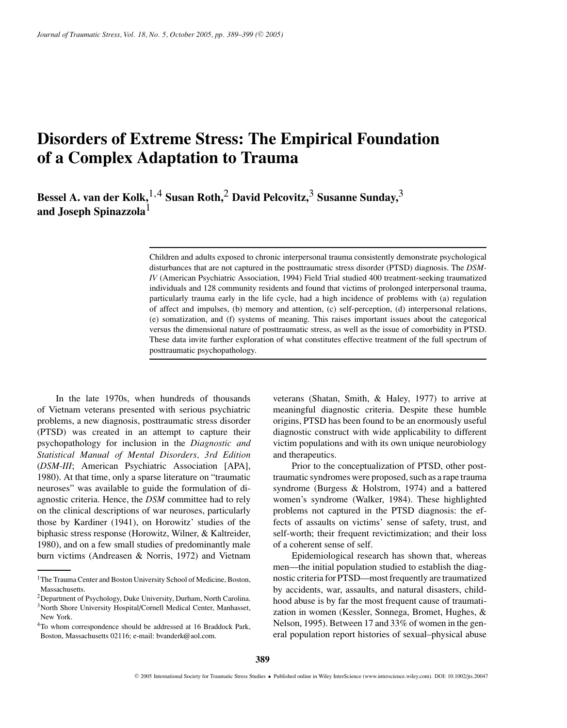# **Disorders of Extreme Stress: The Empirical Foundation of a Complex Adaptation to Trauma**

**Bessel A. van der Kolk,**1*,*4 **Susan Roth,**2 **David Pelcovitz,**3 **Susanne Sunday,**3 **and Joseph Spinazzola**1

> Children and adults exposed to chronic interpersonal trauma consistently demonstrate psychological disturbances that are not captured in the posttraumatic stress disorder (PTSD) diagnosis. The *DSM-IV* (American Psychiatric Association, 1994) Field Trial studied 400 treatment-seeking traumatized individuals and 128 community residents and found that victims of prolonged interpersonal trauma, particularly trauma early in the life cycle, had a high incidence of problems with (a) regulation of affect and impulses, (b) memory and attention, (c) self-perception, (d) interpersonal relations, (e) somatization, and (f) systems of meaning. This raises important issues about the categorical versus the dimensional nature of posttraumatic stress, as well as the issue of comorbidity in PTSD. These data invite further exploration of what constitutes effective treatment of the full spectrum of posttraumatic psychopathology.

In the late 1970s, when hundreds of thousands of Vietnam veterans presented with serious psychiatric problems, a new diagnosis, posttraumatic stress disorder (PTSD) was created in an attempt to capture their psychopathology for inclusion in the *Diagnostic and Statistical Manual of Mental Disorders, 3rd Edition* (*DSM-III*; American Psychiatric Association [APA], 1980). At that time, only a sparse literature on "traumatic neuroses" was available to guide the formulation of diagnostic criteria. Hence, the *DSM* committee had to rely on the clinical descriptions of war neuroses, particularly those by Kardiner (1941), on Horowitz' studies of the biphasic stress response (Horowitz, Wilner, & Kaltreider, 1980), and on a few small studies of predominantly male burn victims (Andreasen & Norris, 1972) and Vietnam veterans (Shatan, Smith, & Haley, 1977) to arrive at meaningful diagnostic criteria. Despite these humble origins, PTSD has been found to be an enormously useful diagnostic construct with wide applicability to different victim populations and with its own unique neurobiology and therapeutics.

Prior to the conceptualization of PTSD, other posttraumatic syndromes were proposed, such as a rape trauma syndrome (Burgess & Holstrom, 1974) and a battered women's syndrome (Walker, 1984). These highlighted problems not captured in the PTSD diagnosis: the effects of assaults on victims' sense of safety, trust, and self-worth; their frequent revictimization; and their loss of a coherent sense of self.

Epidemiological research has shown that, whereas men—the initial population studied to establish the diagnostic criteria for PTSD—most frequently are traumatized by accidents, war, assaults, and natural disasters, childhood abuse is by far the most frequent cause of traumatization in women (Kessler, Sonnega, Bromet, Hughes, & Nelson, 1995). Between 17 and 33% of women in the general population report histories of sexual–physical abuse

<sup>&</sup>lt;sup>1</sup>The Trauma Center and Boston University School of Medicine, Boston, Massachusetts.

<sup>2</sup>Department of Psychology, Duke University, Durham, North Carolina. 3North Shore University Hospital/Cornell Medical Center, Manhasset, New York.

<sup>4</sup>To whom correspondence should be addressed at 16 Braddock Park, Boston, Massachusetts 02116; e-mail: bvanderk@aol.com.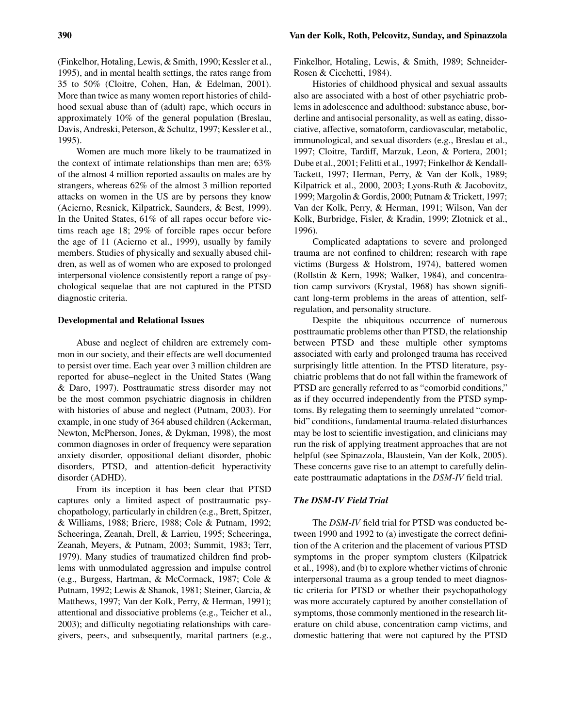**390 Van der Kolk, Roth, Pelcovitz, Sunday, and Spinazzola**

(Finkelhor, Hotaling, Lewis, & Smith, 1990; Kessler et al., 1995), and in mental health settings, the rates range from 35 to 50% (Cloitre, Cohen, Han, & Edelman, 2001). More than twice as many women report histories of childhood sexual abuse than of (adult) rape, which occurs in approximately 10% of the general population (Breslau, Davis, Andreski, Peterson, & Schultz, 1997; Kessler et al., 1995).

Women are much more likely to be traumatized in the context of intimate relationships than men are; 63% of the almost 4 million reported assaults on males are by strangers, whereas 62% of the almost 3 million reported attacks on women in the US are by persons they know (Acierno, Resnick, Kilpatrick, Saunders, & Best, 1999). In the United States, 61% of all rapes occur before victims reach age 18; 29% of forcible rapes occur before the age of 11 (Acierno et al., 1999), usually by family members. Studies of physically and sexually abused children, as well as of women who are exposed to prolonged interpersonal violence consistently report a range of psychological sequelae that are not captured in the PTSD diagnostic criteria.

## **Developmental and Relational Issues**

Abuse and neglect of children are extremely common in our society, and their effects are well documented to persist over time. Each year over 3 million children are reported for abuse–neglect in the United States (Wang & Daro, 1997). Posttraumatic stress disorder may not be the most common psychiatric diagnosis in children with histories of abuse and neglect (Putnam, 2003). For example, in one study of 364 abused children (Ackerman, Newton, McPherson, Jones, & Dykman, 1998), the most common diagnoses in order of frequency were separation anxiety disorder, oppositional defiant disorder, phobic disorders, PTSD, and attention-deficit hyperactivity disorder (ADHD).

From its inception it has been clear that PTSD captures only a limited aspect of posttraumatic psychopathology, particularly in children (e.g., Brett, Spitzer, & Williams, 1988; Briere, 1988; Cole & Putnam, 1992; Scheeringa, Zeanah, Drell, & Larrieu, 1995; Scheeringa, Zeanah, Meyers, & Putnam, 2003; Summit, 1983; Terr, 1979). Many studies of traumatized children find problems with unmodulated aggression and impulse control (e.g., Burgess, Hartman, & McCormack, 1987; Cole & Putnam, 1992; Lewis & Shanok, 1981; Steiner, Garcia, & Matthews, 1997; Van der Kolk, Perry, & Herman, 1991); attentional and dissociative problems (e.g., Teicher et al., 2003); and difficulty negotiating relationships with caregivers, peers, and subsequently, marital partners (e.g.,

Finkelhor, Hotaling, Lewis, & Smith, 1989; Schneider-Rosen & Cicchetti, 1984).

Histories of childhood physical and sexual assaults also are associated with a host of other psychiatric problems in adolescence and adulthood: substance abuse, borderline and antisocial personality, as well as eating, dissociative, affective, somatoform, cardiovascular, metabolic, immunological, and sexual disorders (e.g., Breslau et al., 1997; Cloitre, Tardiff, Marzuk, Leon, & Portera, 2001; Dube et al., 2001; Felitti et al., 1997; Finkelhor & Kendall-Tackett, 1997; Herman, Perry, & Van der Kolk, 1989; Kilpatrick et al., 2000, 2003; Lyons-Ruth & Jacobovitz, 1999; Margolin & Gordis, 2000; Putnam & Trickett, 1997; Van der Kolk, Perry, & Herman, 1991; Wilson, Van der Kolk, Burbridge, Fisler, & Kradin, 1999; Zlotnick et al., 1996).

Complicated adaptations to severe and prolonged trauma are not confined to children; research with rape victims (Burgess & Holstrom, 1974), battered women (Rollstin & Kern, 1998; Walker, 1984), and concentration camp survivors (Krystal, 1968) has shown significant long-term problems in the areas of attention, selfregulation, and personality structure.

Despite the ubiquitous occurrence of numerous posttraumatic problems other than PTSD, the relationship between PTSD and these multiple other symptoms associated with early and prolonged trauma has received surprisingly little attention. In the PTSD literature, psychiatric problems that do not fall within the framework of PTSD are generally referred to as "comorbid conditions," as if they occurred independently from the PTSD symptoms. By relegating them to seemingly unrelated "comorbid" conditions, fundamental trauma-related disturbances may be lost to scientific investigation, and clinicians may run the risk of applying treatment approaches that are not helpful (see Spinazzola, Blaustein, Van der Kolk, 2005). These concerns gave rise to an attempt to carefully delineate posttraumatic adaptations in the *DSM-IV* field trial.

## *The DSM-IV Field Trial*

The *DSM-IV* field trial for PTSD was conducted between 1990 and 1992 to (a) investigate the correct definition of the A criterion and the placement of various PTSD symptoms in the proper symptom clusters (Kilpatrick et al., 1998), and (b) to explore whether victims of chronic interpersonal trauma as a group tended to meet diagnostic criteria for PTSD or whether their psychopathology was more accurately captured by another constellation of symptoms, those commonly mentioned in the research literature on child abuse, concentration camp victims, and domestic battering that were not captured by the PTSD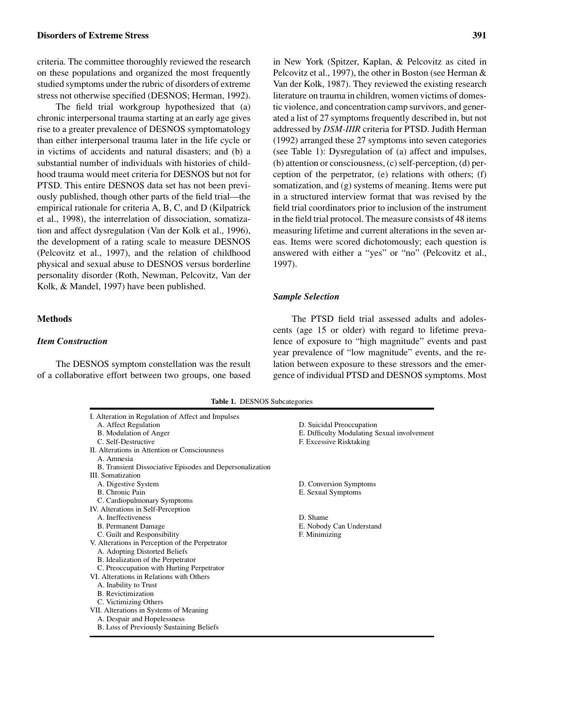criteria. The committee thoroughly reviewed the research on these populations and organized the most frequently studied symptoms under the rubric of disorders of extreme stress not otherwise specified (DESNOS; Herman, 1992).

The field trial workgroup hypothesized that (a) chronic interpersonal trauma starting at an early age gives rise to a greater prevalence of DESNOS symptomatology than either interpersonal trauma later in the life cycle or in victims of accidents and natural disasters; and (b) a substantial number of individuals with histories of childhood trauma would meet criteria for DESNOS but not for PTSD. This entire DESNOS data set has not been previously published, though other parts of the field trial—the empirical rationale for criteria A, B, C, and D (Kilpatrick et al., 1998), the interrelation of dissociation, somatization and affect dysregulation (Van der Kolk et al., 1996), the development of a rating scale to measure DESNOS (Pelcovitz et al., 1997), and the relation of childhood physical and sexual abuse to DESNOS versus borderline personality disorder (Roth, Newman, Pelcovitz, Van der Kolk, & Mandel, 1997) have been published.

## **Methods**

## *Item Construction*

The DESNOS symptom constellation was the result of a collaborative effort between two groups, one based in New York (Spitzer, Kaplan, & Pelcovitz as cited in Pelcovitz et al., 1997), the other in Boston (see Herman & Van der Kolk, 1987). They reviewed the existing research literature on trauma in children, women victims of domestic violence, and concentration camp survivors, and generated a list of 27 symptoms frequently described in, but not addressed by *DSM-IIIR* criteria for PTSD. Judith Herman (1992) arranged these 27 symptoms into seven categories (see Table 1): Dysregulation of (a) affect and impulses, (b) attention or consciousness, (c) self-perception, (d) perception of the perpetrator, (e) relations with others; (f) somatization, and (g) systems of meaning. Items were put in a structured interview format that was revised by the field trial coordinators prior to inclusion of the instrument in the field trial protocol. The measure consists of 48 items measuring lifetime and current alterations in the seven areas. Items were scored dichotomously; each question is answered with either a "yes" or "no" (Pelcovitz et al., 1997).

## *Sample Selection*

The PTSD field trial assessed adults and adolescents (age 15 or older) with regard to lifetime prevalence of exposure to "high magnitude" events and past year prevalence of "low magnitude" events, and the relation between exposure to these stressors and the emergence of individual PTSD and DESNOS symptoms. Most

**Table 1.** DESNOS Subcategories

| I. Alteration in Regulation of Affect and Impulses       |                                             |
|----------------------------------------------------------|---------------------------------------------|
| A. Affect Regulation                                     | D. Suicidal Preoccupation                   |
| B. Modulation of Anger                                   | E. Difficulty Modulating Sexual involvement |
| C. Self-Destructive                                      | F. Excessive Risktaking                     |
| II. Alterations in Attention or Consciousness            |                                             |
| A. Amnesia                                               |                                             |
| B. Transient Dissociative Episodes and Depersonalization |                                             |
| <b>III.</b> Somatization                                 |                                             |
| A. Digestive System                                      | D. Conversion Symptoms                      |
| B. Chronic Pain                                          | E. Sexual Symptoms                          |
| C. Cardiopulmonary Symptoms                              |                                             |
| IV. Alterations in Self-Perception                       |                                             |
| A. Ineffectiveness                                       | D. Shame                                    |
| <b>B.</b> Permanent Damage                               | E. Nobody Can Understand                    |
| C. Guilt and Responsibility                              | F. Minimizing                               |
| V. Alterations in Perception of the Perpetrator          |                                             |
| A. Adopting Distorted Beliefs                            |                                             |
| B. Idealization of the Perpetrator                       |                                             |
| C. Preoccupation with Hurting Perpetrator                |                                             |
| VI. Alterations in Relations with Others                 |                                             |
| A. Inability to Trust                                    |                                             |
| B. Revictimization                                       |                                             |
| C. Victimizing Others                                    |                                             |
| VII. Alterations in Systems of Meaning                   |                                             |
| A. Despair and Hopelessness                              |                                             |
| B. Loss of Previously Sustaining Beliefs                 |                                             |
|                                                          |                                             |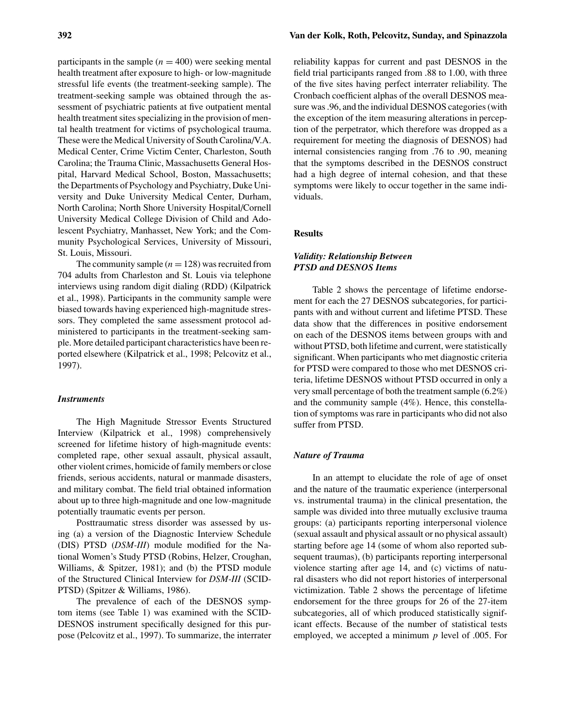participants in the sample  $(n = 400)$  were seeking mental health treatment after exposure to high- or low-magnitude stressful life events (the treatment-seeking sample). The treatment-seeking sample was obtained through the assessment of psychiatric patients at five outpatient mental health treatment sites specializing in the provision of mental health treatment for victims of psychological trauma. These were the Medical University of South Carolina/V.A. Medical Center, Crime Victim Center, Charleston, South Carolina; the Trauma Clinic, Massachusetts General Hospital, Harvard Medical School, Boston, Massachusetts; the Departments of Psychology and Psychiatry, Duke University and Duke University Medical Center, Durham, North Carolina; North Shore University Hospital/Cornell University Medical College Division of Child and Adolescent Psychiatry, Manhasset, New York; and the Community Psychological Services, University of Missouri, St. Louis, Missouri.

The community sample  $(n = 128)$  was recruited from 704 adults from Charleston and St. Louis via telephone interviews using random digit dialing (RDD) (Kilpatrick et al., 1998). Participants in the community sample were biased towards having experienced high-magnitude stressors. They completed the same assessment protocol administered to participants in the treatment-seeking sample. More detailed participant characteristics have been reported elsewhere (Kilpatrick et al., 1998; Pelcovitz et al., 1997).

## *Instruments*

The High Magnitude Stressor Events Structured Interview (Kilpatrick et al., 1998) comprehensively screened for lifetime history of high-magnitude events: completed rape, other sexual assault, physical assault, other violent crimes, homicide of family members or close friends, serious accidents, natural or manmade disasters, and military combat. The field trial obtained information about up to three high-magnitude and one low-magnitude potentially traumatic events per person.

Posttraumatic stress disorder was assessed by using (a) a version of the Diagnostic Interview Schedule (DIS) PTSD (*DSM-III*) module modified for the National Women's Study PTSD (Robins, Helzer, Croughan, Williams, & Spitzer, 1981); and (b) the PTSD module of the Structured Clinical Interview for *DSM-III* (SCID-PTSD) (Spitzer & Williams, 1986).

The prevalence of each of the DESNOS symptom items (see Table 1) was examined with the SCID-DESNOS instrument specifically designed for this purpose (Pelcovitz et al., 1997). To summarize, the interrater reliability kappas for current and past DESNOS in the field trial participants ranged from .88 to 1.00, with three of the five sites having perfect interrater reliability. The Cronbach coefficient alphas of the overall DESNOS measure was .96, and the individual DESNOS categories (with the exception of the item measuring alterations in perception of the perpetrator, which therefore was dropped as a requirement for meeting the diagnosis of DESNOS) had internal consistencies ranging from .76 to .90, meaning that the symptoms described in the DESNOS construct had a high degree of internal cohesion, and that these symptoms were likely to occur together in the same individuals.

## **Results**

# *Validity: Relationship Between PTSD and DESNOS Items*

Table 2 shows the percentage of lifetime endorsement for each the 27 DESNOS subcategories, for participants with and without current and lifetime PTSD. These data show that the differences in positive endorsement on each of the DESNOS items between groups with and without PTSD, both lifetime and current, were statistically significant. When participants who met diagnostic criteria for PTSD were compared to those who met DESNOS criteria, lifetime DESNOS without PTSD occurred in only a very small percentage of both the treatment sample (6.2%) and the community sample (4%). Hence, this constellation of symptoms was rare in participants who did not also suffer from PTSD.

#### *Nature of Trauma*

In an attempt to elucidate the role of age of onset and the nature of the traumatic experience (interpersonal vs. instrumental trauma) in the clinical presentation, the sample was divided into three mutually exclusive trauma groups: (a) participants reporting interpersonal violence (sexual assault and physical assault or no physical assault) starting before age 14 (some of whom also reported subsequent traumas), (b) participants reporting interpersonal violence starting after age 14, and (c) victims of natural disasters who did not report histories of interpersonal victimization. Table 2 shows the percentage of lifetime endorsement for the three groups for 26 of the 27-item subcategories, all of which produced statistically significant effects. Because of the number of statistical tests employed, we accepted a minimum *p* level of .005. For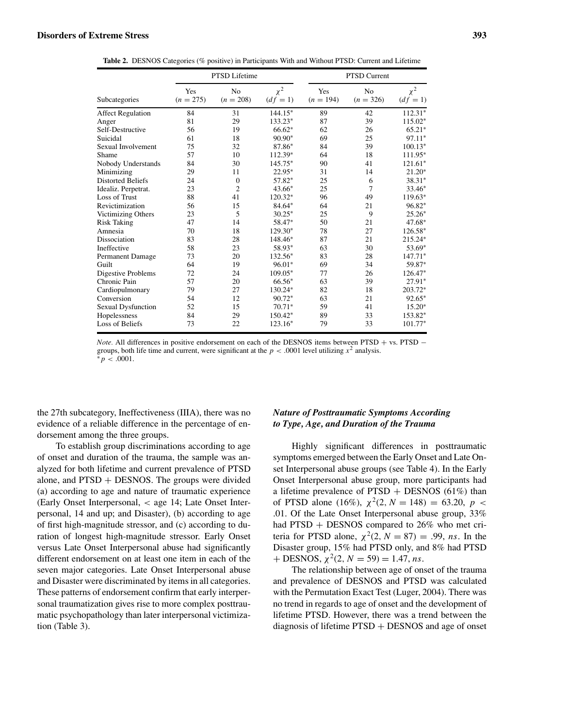|                          |                    | <b>PTSD</b> Lifetime |                        |                    | <b>PTSD Current</b>           |                        |
|--------------------------|--------------------|----------------------|------------------------|--------------------|-------------------------------|------------------------|
| Subcategories            | Yes<br>$(n = 275)$ | No<br>$(n = 208)$    | $\chi^2$<br>$(df = 1)$ | Yes<br>$(n = 194)$ | N <sub>o</sub><br>$(n = 326)$ | $\chi^2$<br>$(df = 1)$ |
| <b>Affect Regulation</b> | 84                 | 31                   | 144.15*                | 89                 | 42                            | 112.31*                |
| Anger                    | 81                 | 29                   | 133.23*                | 87                 | 39                            | 115.02*                |
| Self-Destructive         | 56                 | 19                   | 66.62*                 | 62                 | 26                            | $65.21*$               |
| Suicidal                 | 61                 | 18                   | 90.90*                 | 69                 | 25                            | 97.11*                 |
| Sexual Involvement       | 75                 | 32                   | 87.86*                 | 84                 | 39                            | $100.13*$              |
| Shame                    | 57                 | 10                   | 112.39*                | 64                 | 18                            | 111.95*                |
| Nobody Understands       | 84                 | 30                   | 145.75*                | 90                 | 41                            | $121.61*$              |
| Minimizing               | 29                 | 11                   | 22.95*                 | 31                 | 14                            | $21.20*$               |
| <b>Distorted Beliefs</b> | 24                 | $\overline{0}$       | 57.82*                 | 25                 | 6                             | 38.31*                 |
| Idealiz. Perpetrat.      | 23                 | $\overline{c}$       | 43.66*                 | 25                 | $\overline{7}$                | 33.46*                 |
| <b>Loss of Trust</b>     | 88                 | 41                   | 120.32*                | 96                 | 49                            | 119.63*                |
| Revictimization          | 56                 | 15                   | 84.64*                 | 64                 | 21                            | 96.82*                 |
| Victimizing Others       | 23                 | 5                    | $30.25*$               | 25                 | 9                             | 25.26*                 |
| <b>Risk Taking</b>       | 47                 | 14                   | 58.47*                 | 50                 | 21                            | 47.68*                 |
| Amnesia                  | 70                 | 18                   | 129.30*                | 78                 | 27                            | 126.58*                |
| Dissociation             | 83                 | 28                   | 148.46*                | 87                 | 21                            | 215.24*                |
| <b>Ineffective</b>       | 58                 | 23                   | 58.93*                 | 63                 | 30                            | 53.69*                 |
| Permanent Damage         | 73                 | 20                   | 132.56*                | 83                 | 28                            | 147.71*                |
| Guilt                    | 64                 | 19                   | 96.01*                 | 69                 | 34                            | 59.87*                 |
| Digestive Problems       | 72                 | 24                   | $109.05*$              | 77                 | 26                            | 126.47*                |
| Chronic Pain             | 57                 | 20                   | $66.56*$               | 63                 | 39                            | 27.91*                 |
| Cardiopulmonary          | 79                 | 27                   | 130.24*                | 82                 | 18                            | 203.72*                |
| Conversion               | 54                 | 12                   | 90.72*                 | 63                 | 21                            | 92.65*                 |
| Sexual Dysfunction       | 52                 | 15                   | $70.71*$               | 59                 | 41                            | $15.20*$               |
| Hopelessness             | 84                 | 29                   | 150.42*                | 89                 | 33                            | 153.82*                |
| <b>Loss of Beliefs</b>   | 73                 | 22                   | $123.16*$              | 79                 | 33                            | 101.77*                |

**Table 2.** DESNOS Categories (% positive) in Participants With and Without PTSD: Current and Lifetime

*Note.* All differences in positive endorsement on each of the DESNOS items between PTSD + vs. PTSD – groups, both life time and current, were significant at the  $p < .0001$  level utilizing  $x^2$  analysis.  $p < .0001$ .

the 27th subcategory, Ineffectiveness (IIIA), there was no evidence of a reliable difference in the percentage of endorsement among the three groups.

To establish group discriminations according to age of onset and duration of the trauma, the sample was analyzed for both lifetime and current prevalence of PTSD alone, and  $PTSD + DESNOS$ . The groups were divided (a) according to age and nature of traumatic experience (Early Onset Interpersonal, *<* age 14; Late Onset Interpersonal, 14 and up; and Disaster), (b) according to age of first high-magnitude stressor, and (c) according to duration of longest high-magnitude stressor. Early Onset versus Late Onset Interpersonal abuse had significantly different endorsement on at least one item in each of the seven major categories. Late Onset Interpersonal abuse and Disaster were discriminated by items in all categories. These patterns of endorsement confirm that early interpersonal traumatization gives rise to more complex posttraumatic psychopathology than later interpersonal victimization (Table 3).

# *Nature of Posttraumatic Symptoms According to Type, Age, and Duration of the Trauma*

Highly significant differences in posttraumatic symptoms emerged between the Early Onset and Late Onset Interpersonal abuse groups (see Table 4). In the Early Onset Interpersonal abuse group, more participants had a lifetime prevalence of  $PTSD + DESNOS$  (61%) than of PTSD alone (16%),  $\chi^2(2, N = 148) = 63.20$ ,  $p <$ .01. Of the Late Onset Interpersonal abuse group, 33% had PTSD + DESNOS compared to 26% who met criteria for PTSD alone,  $\chi^2(2, N = 87) = .99$ , *ns*. In the Disaster group, 15% had PTSD only, and 8% had PTSD  $+$  DESNOS,  $\chi^2(2, N = 59) = 1.47$ , *ns*.

The relationship between age of onset of the trauma and prevalence of DESNOS and PTSD was calculated with the Permutation Exact Test (Luger, 2004). There was no trend in regards to age of onset and the development of lifetime PTSD. However, there was a trend between the diagnosis of lifetime PTSD + DESNOS and age of onset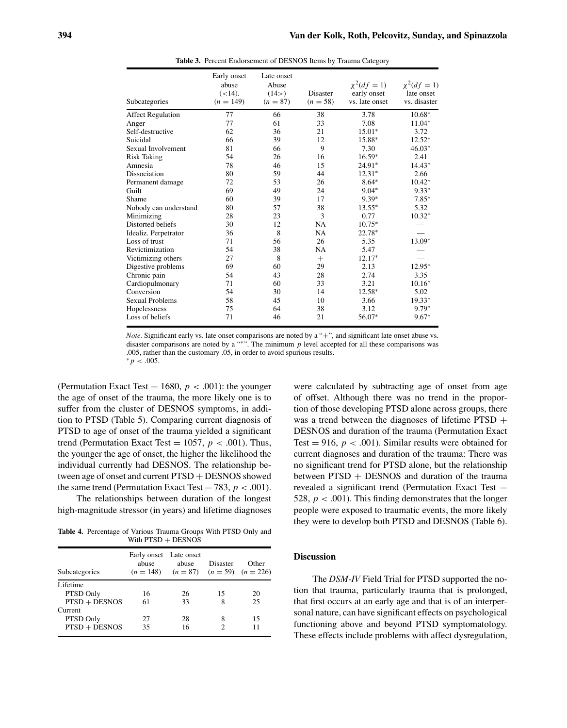| Subcategories            | Early onset<br>abuse<br>$(<14)$ .<br>$(n = 149)$ | Late onset<br>Abuse<br>(14)<br>$(n = 87)$ | Disaster<br>$(n = 58)$ | $\chi^2(df = 1)$<br>early onset<br>vs. late onset | $\chi^2(df = 1)$<br>late onset<br>vs. disaster |
|--------------------------|--------------------------------------------------|-------------------------------------------|------------------------|---------------------------------------------------|------------------------------------------------|
| <b>Affect Regulation</b> | 77                                               | 66                                        | 38                     | 3.78                                              | $10.68*$                                       |
| Anger                    | 77                                               | 61                                        | 33                     | 7.08                                              | 11.04*                                         |
| Self-destructive         | 62                                               | 36                                        | 21                     | $15.01*$                                          | 3.72                                           |
| Suicidal                 | 66                                               | 39                                        | 12                     | 15.88*                                            | 12.52*                                         |
| Sexual Involvement       | 81                                               | 66                                        | 9                      | 7.30                                              | $46.03*$                                       |
| <b>Risk Taking</b>       | 54                                               | 26                                        | 16                     | $16.59*$                                          | 2.41                                           |
| Amnesia                  | 78                                               | 46                                        | 15                     | 24.91*                                            | $14.43*$                                       |
| Dissociation             | 80                                               | 59                                        | 44                     | $12.31*$                                          | 2.66                                           |
| Permanent damage         | 72                                               | 53                                        | 26                     | $8.64*$                                           | $10.42*$                                       |
| Guilt                    | 69                                               | 49                                        | 24                     | $9.04*$                                           | $9.33*$                                        |
| Shame                    | 60                                               | 39                                        | 17                     | $9.39*$                                           | $7.85*$                                        |
| Nobody can understand    | 80                                               | 57                                        | 38                     | $13.55*$                                          | 5.32                                           |
| Minimizing               | 28                                               | 23                                        | 3                      | 0.77                                              | $10.32*$                                       |
| Distorted beliefs        | 30                                               | 12                                        | <b>NA</b>              | $10.75*$                                          |                                                |
| Idealiz. Perpetrator     | 36                                               | 8                                         | <b>NA</b>              | 22.78*                                            |                                                |
| Loss of trust            | 71                                               | 56                                        | 26                     | 5.35                                              | 13.09*                                         |
| Revictimization          | 54                                               | 38                                        | <b>NA</b>              | 5.47                                              |                                                |
| Victimizing others       | 27                                               | 8                                         | $+$                    | $12.17*$                                          |                                                |
| Digestive problems       | 69                                               | 60                                        | 29                     | 2.13                                              | 12.95*                                         |
| Chronic pain             | 54                                               | 43                                        | 28                     | 2.74                                              | 3.35                                           |
| Cardiopulmonary          | 71                                               | 60                                        | 33                     | 3.21                                              | $10.16*$                                       |
| Conversion               | 54                                               | 30                                        | 14                     | 12.58*                                            | 5.02                                           |
| <b>Sexual Problems</b>   | 58                                               | 45                                        | 10                     | 3.66                                              | $19.33*$                                       |
| Hopelessness             | 75                                               | 64                                        | 38                     | 3.12                                              | 9.79*                                          |
| Loss of beliefs          | 71                                               | 46                                        | 21                     | 56.07*                                            | $9.67*$                                        |

**Table 3.** Percent Endorsement of DESNOS Items by Trauma Category

*Note*. Significant early vs. late onset comparisons are noted by a "+", and significant late onset abuse vs. disaster comparisons are noted by a "\*". The minimum *p* level accepted for all these comparisons was .005, rather than the customary .05, in order to avoid spurious results.  $* p < .005$ .

(Permutation Exact Test = 1680,  $p < .001$ ): the younger the age of onset of the trauma, the more likely one is to suffer from the cluster of DESNOS symptoms, in addition to PTSD (Table 5). Comparing current diagnosis of PTSD to age of onset of the trauma yielded a significant trend (Permutation Exact Test  $= 1057$ ,  $p < .001$ ). Thus, the younger the age of onset, the higher the likelihood the individual currently had DESNOS. The relationship between age of onset and current PTSD + DESNOS showed the same trend (Permutation Exact Test  $= 783$ ,  $p < .001$ ).

The relationships between duration of the longest high-magnitude stressor (in years) and lifetime diagnoses

**Table 4.** Percentage of Various Trauma Groups With PTSD Only and With PTSD + DESNOS

| Subcategories   | Early onset Late onset<br>abuse | abuse<br>$(n = 148)$ $(n = 87)$ $(n = 59)$ $(n = 226)$ | Disaster | Other |
|-----------------|---------------------------------|--------------------------------------------------------|----------|-------|
| Lifetime        |                                 |                                                        |          |       |
| PTSD Only       | 16                              | 26                                                     | 15       | 20    |
| $PTSD + DESNOS$ | 61                              | 33                                                     | 8        | 25    |
| Current         |                                 |                                                        |          |       |
| PTSD Only       | 27                              | 28                                                     |          | 15    |
| $PTSD + DESNOS$ | 35                              | 16                                                     |          | 11    |

were calculated by subtracting age of onset from age of offset. Although there was no trend in the proportion of those developing PTSD alone across groups, there was a trend between the diagnoses of lifetime  $PTSD +$ DESNOS and duration of the trauma (Permutation Exact Test  $= 916$ ,  $p < .001$ ). Similar results were obtained for current diagnoses and duration of the trauma: There was no significant trend for PTSD alone, but the relationship between PTSD + DESNOS and duration of the trauma revealed a significant trend (Permutation Exact Test  $=$ 528,  $p < .001$ ). This finding demonstrates that the longer people were exposed to traumatic events, the more likely they were to develop both PTSD and DESNOS (Table 6).

## **Discussion**

The *DSM-IV* Field Trial for PTSD supported the notion that trauma, particularly trauma that is prolonged, that first occurs at an early age and that is of an interpersonal nature, can have significant effects on psychological functioning above and beyond PTSD symptomatology. These effects include problems with affect dysregulation,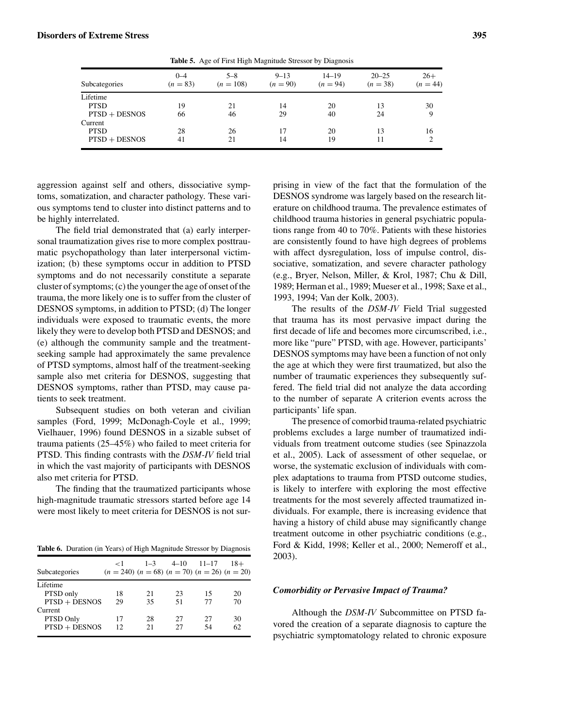**Table 5.** Age of First High Magnitude Stressor by Diagnosis

|                 | $0 - 4$    | $5 - 8$     | $9 - 13$   | $14 - 19$  | $20 - 25$  | $26+$      |
|-----------------|------------|-------------|------------|------------|------------|------------|
| Subcategories   | $(n = 83)$ | $(n = 108)$ | $(n = 90)$ | $(n = 94)$ | $(n = 38)$ | $(n = 44)$ |
| Lifetime        |            |             |            |            |            |            |
| <b>PTSD</b>     | 19         | 21          | 14         | 20         | 13         | 30         |
| $PTSD + DESNOS$ | 66         | 46          | 29         | 40         | 24         | 9          |
| Current         |            |             |            |            |            |            |
| <b>PTSD</b>     | 28         | 26          | 17         | 20         | 13         | 16         |
| $PTSD + DESNOS$ | 41         | 21          | 14         | 19         |            | 2          |

aggression against self and others, dissociative symptoms, somatization, and character pathology. These various symptoms tend to cluster into distinct patterns and to be highly interrelated.

The field trial demonstrated that (a) early interpersonal traumatization gives rise to more complex posttraumatic psychopathology than later interpersonal victimization; (b) these symptoms occur in addition to PTSD symptoms and do not necessarily constitute a separate cluster of symptoms; (c) the younger the age of onset of the trauma, the more likely one is to suffer from the cluster of DESNOS symptoms, in addition to PTSD; (d) The longer individuals were exposed to traumatic events, the more likely they were to develop both PTSD and DESNOS; and (e) although the community sample and the treatmentseeking sample had approximately the same prevalence of PTSD symptoms, almost half of the treatment-seeking sample also met criteria for DESNOS, suggesting that DESNOS symptoms, rather than PTSD, may cause patients to seek treatment.

Subsequent studies on both veteran and civilian samples (Ford, 1999; McDonagh-Coyle et al., 1999; Vielhauer, 1996) found DESNOS in a sizable subset of trauma patients (25–45%) who failed to meet criteria for PTSD. This finding contrasts with the *DSM-IV* field trial in which the vast majority of participants with DESNOS also met criteria for PTSD.

The finding that the traumatized participants whose high-magnitude traumatic stressors started before age 14 were most likely to meet criteria for DESNOS is not sur-

**Table 6.** Duration (in Years) of High Magnitude Stressor by Diagnosis

| Subcategories                            | $\geq 1$<br>$(n = 240)$ $(n = 68)$ $(n = 70)$ $(n = 26)$ $(n = 20)$ | $1 - 3$  | $4 - 10$ | $11 - 17$ | $18+$    |
|------------------------------------------|---------------------------------------------------------------------|----------|----------|-----------|----------|
| Lifetime<br>PTSD only<br>$PTSD + DESNOS$ | 18<br>29                                                            | 21<br>35 | 23<br>51 | 15<br>77  | 20<br>70 |
| Current<br>PTSD Only<br>$PTSD + DESNOS$  | 17<br>12                                                            | 28<br>21 | 27<br>27 | 27<br>54  | 30<br>62 |

prising in view of the fact that the formulation of the DESNOS syndrome was largely based on the research literature on childhood trauma. The prevalence estimates of childhood trauma histories in general psychiatric populations range from 40 to 70%. Patients with these histories are consistently found to have high degrees of problems with affect dysregulation, loss of impulse control, dissociative, somatization, and severe character pathology (e.g., Bryer, Nelson, Miller, & Krol, 1987; Chu & Dill, 1989; Herman et al., 1989; Mueser et al., 1998; Saxe et al., 1993, 1994; Van der Kolk, 2003).

The results of the *DSM-IV* Field Trial suggested that trauma has its most pervasive impact during the first decade of life and becomes more circumscribed, i.e., more like "pure" PTSD, with age. However, participants' DESNOS symptoms may have been a function of not only the age at which they were first traumatized, but also the number of traumatic experiences they subsequently suffered. The field trial did not analyze the data according to the number of separate A criterion events across the participants' life span.

The presence of comorbid trauma-related psychiatric problems excludes a large number of traumatized individuals from treatment outcome studies (see Spinazzola et al., 2005). Lack of assessment of other sequelae, or worse, the systematic exclusion of individuals with complex adaptations to trauma from PTSD outcome studies, is likely to interfere with exploring the most effective treatments for the most severely affected traumatized individuals. For example, there is increasing evidence that having a history of child abuse may significantly change treatment outcome in other psychiatric conditions (e.g., Ford & Kidd, 1998; Keller et al., 2000; Nemeroff et al., 2003).

#### *Comorbidity or Pervasive Impact of Trauma?*

Although the *DSM-IV* Subcommittee on PTSD favored the creation of a separate diagnosis to capture the psychiatric symptomatology related to chronic exposure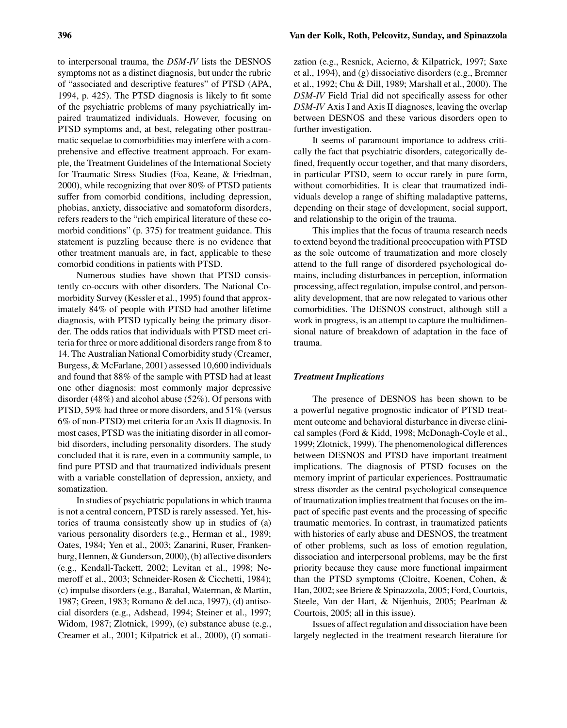to interpersonal trauma, the *DSM-IV* lists the DESNOS symptoms not as a distinct diagnosis, but under the rubric of "associated and descriptive features" of PTSD (APA, 1994, p. 425). The PTSD diagnosis is likely to fit some of the psychiatric problems of many psychiatrically impaired traumatized individuals. However, focusing on PTSD symptoms and, at best, relegating other posttraumatic sequelae to comorbidities may interfere with a comprehensive and effective treatment approach. For example, the Treatment Guidelines of the International Society for Traumatic Stress Studies (Foa, Keane, & Friedman, 2000), while recognizing that over 80% of PTSD patients suffer from comorbid conditions, including depression, phobias, anxiety, dissociative and somatoform disorders, refers readers to the "rich empirical literature of these comorbid conditions" (p. 375) for treatment guidance. This statement is puzzling because there is no evidence that other treatment manuals are, in fact, applicable to these comorbid conditions in patients with PTSD.

Numerous studies have shown that PTSD consistently co-occurs with other disorders. The National Comorbidity Survey (Kessler et al., 1995) found that approximately 84% of people with PTSD had another lifetime diagnosis, with PTSD typically being the primary disorder. The odds ratios that individuals with PTSD meet criteria for three or more additional disorders range from 8 to 14. The Australian National Comorbidity study (Creamer, Burgess, & McFarlane, 2001) assessed 10,600 individuals and found that 88% of the sample with PTSD had at least one other diagnosis: most commonly major depressive disorder (48%) and alcohol abuse (52%). Of persons with PTSD, 59% had three or more disorders, and 51% (versus 6% of non-PTSD) met criteria for an Axis II diagnosis. In most cases, PTSD was the initiating disorder in all comorbid disorders, including personality disorders. The study concluded that it is rare, even in a community sample, to find pure PTSD and that traumatized individuals present with a variable constellation of depression, anxiety, and somatization.

In studies of psychiatric populations in which trauma is not a central concern, PTSD is rarely assessed. Yet, histories of trauma consistently show up in studies of (a) various personality disorders (e.g., Herman et al., 1989; Oates, 1984; Yen et al., 2003; Zanarini, Ruser, Frankenburg, Hennen, & Gunderson, 2000), (b) affective disorders (e.g., Kendall-Tackett, 2002; Levitan et al., 1998; Nemeroff et al., 2003; Schneider-Rosen & Cicchetti, 1984); (c) impulse disorders (e.g., Barahal, Waterman, & Martin, 1987; Green, 1983; Romano & deLuca, 1997), (d) antisocial disorders (e.g., Adshead, 1994; Steiner et al., 1997; Widom, 1987; Zlotnick, 1999), (e) substance abuse (e.g., Creamer et al., 2001; Kilpatrick et al., 2000), (f) somati-

# **396 Van der Kolk, Roth, Pelcovitz, Sunday, and Spinazzola**

zation (e.g., Resnick, Acierno, & Kilpatrick, 1997; Saxe et al., 1994), and (g) dissociative disorders (e.g., Bremner et al., 1992; Chu & Dill, 1989; Marshall et al., 2000). The *DSM-IV* Field Trial did not specifically assess for other *DSM-IV* Axis I and Axis II diagnoses, leaving the overlap between DESNOS and these various disorders open to further investigation.

It seems of paramount importance to address critically the fact that psychiatric disorders, categorically defined, frequently occur together, and that many disorders, in particular PTSD, seem to occur rarely in pure form, without comorbidities. It is clear that traumatized individuals develop a range of shifting maladaptive patterns, depending on their stage of development, social support, and relationship to the origin of the trauma.

This implies that the focus of trauma research needs to extend beyond the traditional preoccupation with PTSD as the sole outcome of traumatization and more closely attend to the full range of disordered psychological domains, including disturbances in perception, information processing, affect regulation, impulse control, and personality development, that are now relegated to various other comorbidities. The DESNOS construct, although still a work in progress, is an attempt to capture the multidimensional nature of breakdown of adaptation in the face of trauma.

# *Treatment Implications*

The presence of DESNOS has been shown to be a powerful negative prognostic indicator of PTSD treatment outcome and behavioral disturbance in diverse clinical samples (Ford & Kidd, 1998; McDonagh-Coyle et al., 1999; Zlotnick, 1999). The phenomenological differences between DESNOS and PTSD have important treatment implications. The diagnosis of PTSD focuses on the memory imprint of particular experiences. Posttraumatic stress disorder as the central psychological consequence of traumatization implies treatment that focuses on the impact of specific past events and the processing of specific traumatic memories. In contrast, in traumatized patients with histories of early abuse and DESNOS, the treatment of other problems, such as loss of emotion regulation, dissociation and interpersonal problems, may be the first priority because they cause more functional impairment than the PTSD symptoms (Cloitre, Koenen, Cohen, & Han, 2002; see Briere & Spinazzola, 2005; Ford, Courtois, Steele, Van der Hart, & Nijenhuis, 2005; Pearlman & Courtois, 2005; all in this issue).

Issues of affect regulation and dissociation have been largely neglected in the treatment research literature for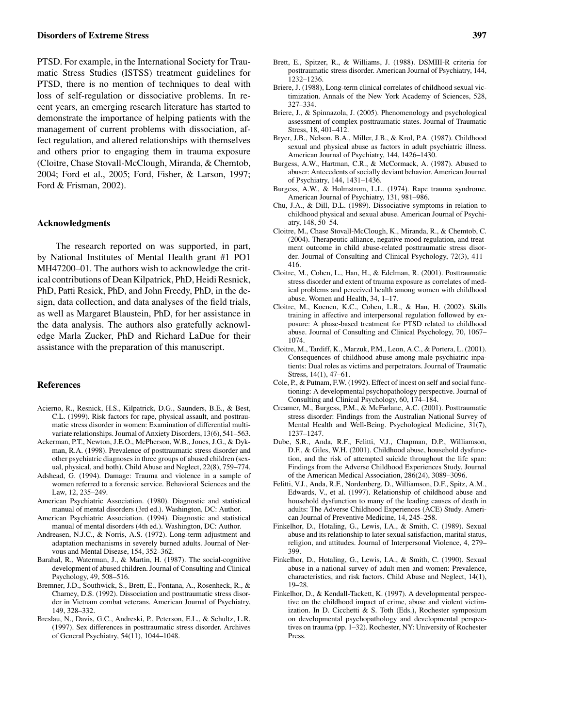## **Disorders of Extreme Stress 397**

PTSD. For example, in the International Society for Traumatic Stress Studies (ISTSS) treatment guidelines for PTSD, there is no mention of techniques to deal with loss of self-regulation or dissociative problems. In recent years, an emerging research literature has started to demonstrate the importance of helping patients with the management of current problems with dissociation, affect regulation, and altered relationships with themselves and others prior to engaging them in trauma exposure (Cloitre, Chase Stovall-McClough, Miranda, & Chemtob, 2004; Ford et al., 2005; Ford, Fisher, & Larson, 1997; Ford & Frisman, 2002).

#### **Acknowledgments**

The research reported on was supported, in part, by National Institutes of Mental Health grant #1 PO1 MH47200–01. The authors wish to acknowledge the critical contributions of Dean Kilpatrick, PhD, Heidi Resnick, PhD, Patti Resick, PhD, and John Freedy, PhD, in the design, data collection, and data analyses of the field trials, as well as Margaret Blaustein, PhD, for her assistance in the data analysis. The authors also gratefully acknowledge Marla Zucker, PhD and Richard LaDue for their assistance with the preparation of this manuscript.

#### **References**

- Acierno, R., Resnick, H.S., Kilpatrick, D.G., Saunders, B.E., & Best, C.L. (1999). Risk factors for rape, physical assault, and posttraumatic stress disorder in women: Examination of differential multivariate relationships. Journal of Anxiety Disorders, 13(6), 541–563.
- Ackerman, P.T., Newton, J.E.O., McPherson, W.B., Jones, J.G., & Dykman, R.A. (1998). Prevalence of posttraumatic stress disorder and other psychiatric diagnoses in three groups of abused children (sexual, physical, and both). Child Abuse and Neglect, 22(8), 759–774.
- Adshead, G. (1994). Damage: Trauma and violence in a sample of women referred to a forensic service. Behavioral Sciences and the Law, 12, 235–249.
- American Psychiatric Association. (1980). Diagnostic and statistical manual of mental disorders (3rd ed.). Washington, DC: Author.
- American Psychiatric Association. (1994). Diagnostic and statistical manual of mental disorders (4th ed.). Washington, DC: Author.
- Andreasen, N.J.C., & Norris, A.S. (1972). Long-term adjustment and adaptation mechanisms in severely burned adults. Journal of Nervous and Mental Disease, 154, 352–362.
- Barahal, R., Waterman, J., & Martin, H. (1987). The social-cognitive development of abused children. Journal of Consulting and Clinical Psychology, 49, 508–516.
- Bremner, J.D., Southwick, S., Brett, E., Fontana, A., Rosenheck, R., & Charney, D.S. (1992). Dissociation and posttraumatic stress disorder in Vietnam combat veterans. American Journal of Psychiatry, 149, 328–332.
- Breslau, N., Davis, G.C., Andreski, P., Peterson, E.L., & Schultz, L.R. (1997). Sex differences in posttraumatic stress disorder. Archives of General Psychiatry, 54(11), 1044–1048.
- Brett, E., Spitzer, R., & Williams, J. (1988). DSMIII-R criteria for posttraumatic stress disorder. American Journal of Psychiatry, 144, 1232–1236.
- Briere, J. (1988), Long-term clinical correlates of childhood sexual victimization. Annals of the New York Academy of Sciences, 528, 327–334.
- Briere, J., & Spinnazola, J. (2005). Phenomenology and psychological assessment of complex posttraumatic states. Journal of Traumatic Stress, 18, 401–412.
- Bryer, J.B., Nelson, B.A., Miller, J.B., & Krol, P.A. (1987). Childhood sexual and physical abuse as factors in adult psychiatric illness. American Journal of Psychiatry, 144, 1426–1430.
- Burgess, A.W., Hartman, C.R., & McCormack, A. (1987). Abused to abuser: Antecedents of socially deviant behavior. American Journal of Psychiatry, 144, 1431–1436.
- Burgess, A.W., & Holmstrom, L.L. (1974). Rape trauma syndrome. American Journal of Psychiatry, 131, 981–986.
- Chu, J.A., & Dill, D.L. (1989). Dissociative symptoms in relation to childhood physical and sexual abuse. American Journal of Psychiatry, 148, 50–54.
- Cloitre, M., Chase Stovall-McClough, K., Miranda, R., & Chemtob, C. (2004). Therapeutic alliance, negative mood regulation, and treatment outcome in child abuse-related posttraumatic stress disorder. Journal of Consulting and Clinical Psychology, 72(3), 411– 416.
- Cloitre, M., Cohen, L., Han, H., & Edelman, R. (2001). Posttraumatic stress disorder and extent of trauma exposure as correlates of medical problems and perceived health among women with childhood abuse. Women and Health, 34, 1–17.
- Cloitre, M., Koenen, K.C., Cohen, L.R., & Han, H. (2002). Skills training in affective and interpersonal regulation followed by exposure: A phase-based treatment for PTSD related to childhood abuse. Journal of Consulting and Clinical Psychology, 70, 1067– 1074.
- Cloitre, M., Tardiff, K., Marzuk, P.M., Leon, A.C., & Portera, L. (2001). Consequences of childhood abuse among male psychiatric inpatients: Dual roles as victims and perpetrators. Journal of Traumatic Stress, 14(1), 47–61.
- Cole, P., & Putnam, F.W. (1992). Effect of incest on self and social functioning: A developmental psychopathology perspective. Journal of Consulting and Clinical Psychology, 60, 174–184.
- Creamer, M., Burgess, P.M., & McFarlane, A.C. (2001). Posttraumatic stress disorder: Findings from the Australian National Survey of Mental Health and Well-Being. Psychological Medicine, 31(7), 1237–1247.
- Dube, S.R., Anda, R.F., Felitti, V.J., Chapman, D.P., Williamson, D.F., & Giles, W.H. (2001). Childhood abuse, household dysfunction, and the risk of attempted suicide throughout the life span: Findings from the Adverse Childhood Experiences Study. Journal of the American Medical Association, 286(24), 3089–3096.
- Felitti, V.J., Anda, R.F., Nordenberg, D., Williamson, D.F., Spitz, A.M., Edwards, V., et al. (1997). Relationship of childhood abuse and household dysfunction to many of the leading causes of death in adults: The Adverse Childhood Experiences (ACE) Study. American Journal of Preventive Medicine, 14, 245–258.
- Finkelhor, D., Hotaling, G., Lewis, I.A., & Smith, C. (1989). Sexual abuse and its relationship to later sexual satisfaction, marital status, religion, and attitudes. Journal of Interpersonal Violence, 4, 279– 399.
- Finkelhor, D., Hotaling, G., Lewis, I.A., & Smith, C. (1990). Sexual abuse in a national survey of adult men and women: Prevalence, characteristics, and risk factors. Child Abuse and Neglect, 14(1), 19–28.
- Finkelhor, D., & Kendall-Tackett, K. (1997). A developmental perspective on the childhood impact of crime, abuse and violent victimization. In D. Cicchetti & S. Toth (Eds.), Rochester symposium on developmental psychopathology and developmental perspectives on trauma (pp. 1–32). Rochester, NY: University of Rochester Press.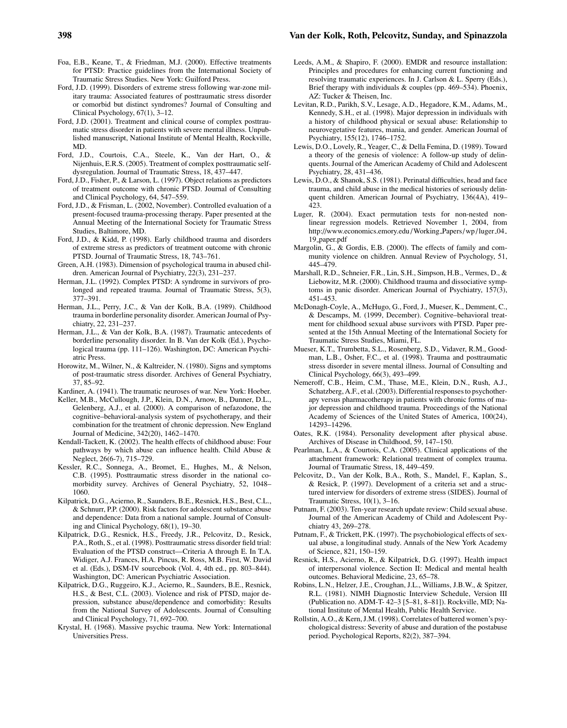## **398 Van der Kolk, Roth, Pelcovitz, Sunday, and Spinazzola**

- Foa, E.B., Keane, T., & Friedman, M.J. (2000). Effective treatments for PTSD: Practice guidelines from the International Society of Traumatic Stress Studies. New York: Guilford Press.
- Ford, J.D. (1999). Disorders of extreme stress following war-zone military trauma: Associated features of posttraumatic stress disorder or comorbid but distinct syndromes? Journal of Consulting and Clinical Psychology, 67(1), 3–12.
- Ford, J.D. (2001). Treatment and clinical course of complex posttraumatic stress disorder in patients with severe mental illness. Unpublished manuscript, National Institute of Mental Health, Rockville, MD.
- Ford, J.D., Courtois, C.A., Steele, K., Van der Hart, O., & Nijenhuis, E.R.S. (2005). Treatment of complex posttraumatic selfdysregulation. Journal of Traumatic Stress, 18, 437–447.
- Ford, J.D., Fisher, P., & Larson, L. (1997). Object relations as predictors of treatment outcome with chronic PTSD. Journal of Consulting and Clinical Psychology, 64, 547–559.
- Ford, J.D., & Frisman, L. (2002, November). Controlled evaluation of a present-focused trauma-processing therapy. Paper presented at the Annual Meeting of the International Society for Traumatic Stress Studies, Baltimore, MD.
- Ford, J.D., & Kidd, P. (1998). Early childhood trauma and disorders of extreme stress as predictors of treatment outcome with chronic PTSD. Journal of Traumatic Stress, 18, 743–761.
- Green, A.H. (1983). Dimension of psychological trauma in abused children. American Journal of Psychiatry, 22(3), 231–237.
- Herman, J.L. (1992). Complex PTSD: A syndrome in survivors of prolonged and repeated trauma. Journal of Traumatic Stress, 5(3), 377–391.
- Herman, J.L., Perry, J.C., & Van der Kolk, B.A. (1989). Childhood trauma in borderline personality disorder. American Journal of Psychiatry, 22, 231–237.
- Herman, J.L., & Van der Kolk, B.A. (1987). Traumatic antecedents of borderline personality disorder. In B. Van der Kolk (Ed.), Psychological trauma (pp. 111–126). Washington, DC: American Psychiatric Press.
- Horowitz, M., Wilner, N., & Kaltreider, N. (1980). Signs and symptoms of post-traumatic stress disorder. Archives of General Psychiatry, 37, 85–92.
- Kardiner, A. (1941). The traumatic neuroses of war. New York: Hoeber.
- Keller, M.B., McCullough, J.P., Klein, D.N., Arnow, B., Dunner, D.L., Gelenberg, A.J., et al. (2000). A comparison of nefazodone, the cognitive–behavioral-analysis system of psychotherapy, and their combination for the treatment of chronic depression. New England Journal of Medicine, 342(20), 1462–1470.
- Kendall-Tackett, K. (2002). The health effects of childhood abuse: Four pathways by which abuse can influence health. Child Abuse & Neglect, 26(6-7), 715–729.
- Kessler, R.C., Sonnega, A., Bromet, E., Hughes, M., & Nelson, C.B. (1995). Posttraumatic stress disorder in the national comorbidity survey. Archives of General Psychiatry, 52, 1048– 1060.
- Kilpatrick, D.G., Acierno, R., Saunders, B.E., Resnick, H.S., Best, C.L., & Schnurr, P.P. (2000). Risk factors for adolescent substance abuse and dependence: Data from a national sample. Journal of Consulting and Clinical Psychology, 68(1), 19–30.
- Kilpatrick, D.G., Resnick, H.S., Freedy, J.R., Pelcovitz, D., Resick, P.A., Roth, S., et al. (1998). Posttraumatic stress disorder field trial: Evaluation of the PTSD construct—Criteria A through E. In T.A. Widiger, A.J. Frances, H.A. Pincus, R. Ross, M.B. First, W. David et al. (Eds.), DSM-IV sourcebook (Vol. 4, 4th ed., pp. 803–844). Washington, DC: American Psychiatric Association.
- Kilpatrick, D.G., Ruggeiro, K.J., Acierno, R., Saunders, B.E., Resnick, H.S., & Best, C.L. (2003). Violence and risk of PTSD, major depression, substance abuse/dependence and comorbidity: Results from the National Survey of Adolescents. Journal of Consulting and Clinical Psychology, 71, 692–700.
- Krystal, H. (1968). Massive psychic trauma. New York: International Universities Press.
- Leeds, A.M., & Shapiro, F. (2000). EMDR and resource installation: Principles and procedures for enhancing current functioning and resolving traumatic experiences. In J. Carlson & L. Sperry (Eds.), Brief therapy with individuals & couples (pp. 469–534). Phoenix, AZ: Tucker & Theisen, Inc.
- Levitan, R.D., Parikh, S.V., Lesage, A.D., Hegadore, K.M., Adams, M., Kennedy, S.H., et al. (1998). Major depression in individuals with a history of childhood physical or sexual abuse: Relationship to neurovegetative features, mania, and gender. American Journal of Psychiatry, 155(12), 1746–1752.
- Lewis, D.O., Lovely, R., Yeager, C., & Della Femina, D. (1989). Toward a theory of the genesis of violence: A follow-up study of delinquents. Journal of the American Academy of Child and Adolescent Psychiatry, 28, 431–436.
- Lewis, D.O., & Shanok, S.S. (1981). Perinatal difficulties, head and face trauma, and child abuse in the medical histories of seriously delinquent children. American Journal of Psychiatry, 136(4A), 419– 423.
- Luger, R. (2004). Exact permutation tests for non-nested nonlinear regression models. Retrieved November 1, 2004, from http://www.economics.emory.edu/Working\_Papers/wp/luger\_04\_ 19 paper.pdf
- Margolin, G., & Gordis, E.B. (2000). The effects of family and community violence on children. Annual Review of Psychology, 51, 445–479.
- Marshall, R.D., Schneier, F.R., Lin, S.H., Simpson, H.B., Vermes, D., & Liebowitz, M.R. (2000). Childhood trauma and dissociative symptoms in panic disorder. American Journal of Psychiatry, 157(3), 451–453.
- McDonagh-Coyle, A., McHugo, G., Ford, J., Mueser, K., Demment, C., & Descamps, M. (1999, December). Cognitive–behavioral treatment for childhood sexual abuse survivors with PTSD. Paper presented at the 15th Annual Meeting of the International Society for Traumatic Stress Studies, Miami, FL.
- Mueser, K.T., Trumbetta, S.L., Rosenberg, S.D., Vidaver, R.M., Goodman, L.B., Osher, F.C., et al. (1998). Trauma and posttraumatic stress disorder in severe mental illness. Journal of Consulting and Clinical Psychology, 66(3), 493–499.
- Nemeroff, C.B., Heim, C.M., Thase, M.E., Klein, D.N., Rush, A.J., Schatzberg, A.F., et al. (2003). Differential responses to psychotherapy versus pharmacotherapy in patients with chronic forms of major depression and childhood trauma. Proceedings of the National Academy of Sciences of the United States of America, 100(24), 14293–14296.
- Oates, R.K. (1984). Personality development after physical abuse. Archives of Disease in Childhood, 59, 147–150.
- Pearlman, L.A., & Courtois, C.A. (2005). Clinical applications of the attachment framework: Relational treatment of complex trauma. Journal of Traumatic Stress, 18, 449–459.
- Pelcovitz, D., Van der Kolk, B.A., Roth, S., Mandel, F., Kaplan, S., & Resick, P. (1997). Development of a criteria set and a structured interview for disorders of extreme stress (SIDES). Journal of Traumatic Stress, 10(1), 3–16.
- Putnam, F. (2003). Ten-year research update review: Child sexual abuse. Journal of the American Academy of Child and Adolescent Psychiatry 43, 269–278.
- Putnam, F., & Trickett, P.K. (1997). The psychobiological effects of sexual abuse, a longitudinal study. Annals of the New York Academy of Science, 821, 150–159.
- Resnick, H.S., Acierno, R., & Kilpatrick, D.G. (1997). Health impact of interpersonal violence. Section II: Medical and mental health outcomes. Behavioral Medicine, 23, 65–78.
- Robins, L.N., Helzer, J.E., Croughan, J.L., Williams, J.B.W., & Spitzer, R.L. (1981). NIMH Diagnostic Interview Schedule, Version III (Publication no. ADM-T- 42–3 [5–81, 8–81]). Rockville, MD; National Institute of Mental Health, Public Health Service.
- Rollstin, A.O., & Kern, J.M. (1998). Correlates of battered women's psychological distress: Severity of abuse and duration of the postabuse period. Psychological Reports, 82(2), 387–394.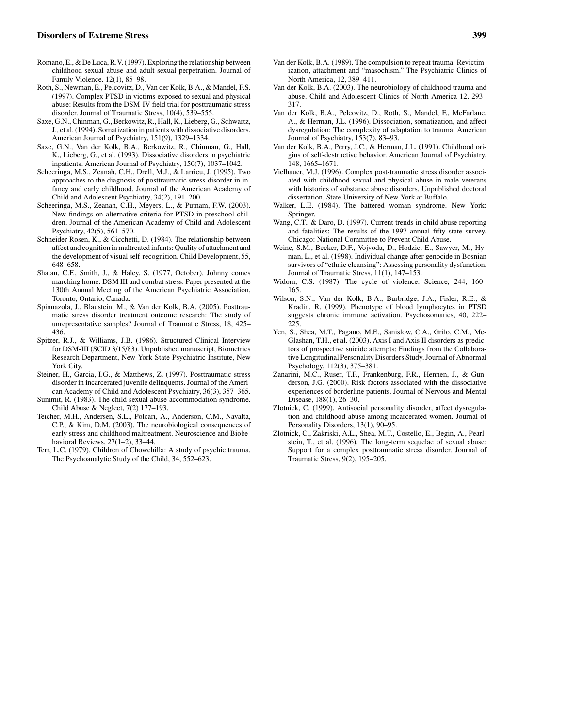- Romano, E., & De Luca, R.V. (1997). Exploring the relationship between childhood sexual abuse and adult sexual perpetration. Journal of Family Violence. 12(1), 85–98.
- Roth, S., Newman, E., Pelcovitz, D., Van der Kolk, B.A., & Mandel, F.S. (1997). Complex PTSD in victims exposed to sexual and physical abuse: Results from the DSM-IV field trial for posttraumatic stress disorder. Journal of Traumatic Stress, 10(4), 539–555.
- Saxe, G.N., Chinman, G., Berkowitz, R., Hall, K., Lieberg, G., Schwartz, J., et al. (1994). Somatization in patients with dissociative disorders. American Journal of Psychiatry, 151(9), 1329–1334.
- Saxe, G.N., Van der Kolk, B.A., Berkowitz, R., Chinman, G., Hall, K., Lieberg, G., et al. (1993). Dissociative disorders in psychiatric inpatients. American Journal of Psychiatry, 150(7), 1037–1042.
- Scheeringa, M.S., Zeanah, C.H., Drell, M.J., & Larrieu, J. (1995). Two approaches to the diagnosis of posttraumatic stress disorder in infancy and early childhood. Journal of the American Academy of Child and Adolescent Psychiatry, 34(2), 191–200.
- Scheeringa, M.S., Zeanah, C.H., Meyers, L., & Putnam, F.W. (2003). New findings on alternative criteria for PTSD in preschool children. Journal of the American Academy of Child and Adolescent Psychiatry, 42(5), 561–570.
- Schneider-Rosen, K., & Cicchetti, D. (1984). The relationship between affect and cognition in maltreated infants: Quality of attachment and the development of visual self-recognition. Child Development, 55, 648–658.
- Shatan, C.F., Smith, J., & Haley, S. (1977, October). Johnny comes marching home: DSM III and combat stress. Paper presented at the 130th Annual Meeting of the American Psychiatric Association, Toronto, Ontario, Canada.
- Spinnazola, J., Blaustein, M., & Van der Kolk, B.A. (2005). Posttraumatic stress disorder treatment outcome research: The study of unrepresentative samples? Journal of Traumatic Stress, 18, 425– 436.
- Spitzer, R.J., & Williams, J.B. (1986). Structured Clinical Interview for DSM-III (SCID 3/15/83). Unpublished manuscript, Biometrics Research Department, New York State Psychiatric Institute, New York City.
- Steiner, H., Garcia, I.G., & Matthews, Z. (1997). Posttraumatic stress disorder in incarcerated juvenile delinquents. Journal of the American Academy of Child and Adolescent Psychiatry, 36(3), 357–365.
- Summit, R. (1983). The child sexual abuse accommodation syndrome. Child Abuse & Neglect, 7(2) 177–193.
- Teicher, M.H., Andersen, S.L., Polcari, A., Anderson, C.M., Navalta, C.P., & Kim, D.M. (2003). The neurobiological consequences of early stress and childhood maltreatment. Neuroscience and Biobehavioral Reviews, 27(1–2), 33–44.
- Terr, L.C. (1979). Children of Chowchilla: A study of psychic trauma. The Psychoanalytic Study of the Child, 34, 552–623.
- Van der Kolk, B.A. (1989). The compulsion to repeat trauma: Revictimization, attachment and "masochism." The Psychiatric Clinics of North America, 12, 389–411.
- Van der Kolk, B.A. (2003). The neurobiology of childhood trauma and abuse. Child and Adolescent Clinics of North America 12, 293– 317.
- Van der Kolk, B.A., Pelcovitz, D., Roth, S., Mandel, F., McFarlane, A., & Herman, J.L. (1996). Dissociation, somatization, and affect dysregulation: The complexity of adaptation to trauma. American Journal of Psychiatry, 153(7), 83–93.
- Van der Kolk, B.A., Perry, J.C., & Herman, J.L. (1991). Childhood origins of self-destructive behavior. American Journal of Psychiatry, 148, 1665–1671.
- Vielhauer, M.J. (1996). Complex post-traumatic stress disorder associated with childhood sexual and physical abuse in male veterans with histories of substance abuse disorders. Unpublished doctoral dissertation, State University of New York at Buffalo.
- Walker, L.E. (1984). The battered woman syndrome. New York: Springer.
- Wang, C.T., & Daro, D. (1997). Current trends in child abuse reporting and fatalities: The results of the 1997 annual fifty state survey. Chicago: National Committee to Prevent Child Abuse.
- Weine, S.M., Becker, D.F., Vojvoda, D., Hodzic, E., Sawyer, M., Hyman, L., et al. (1998). Individual change after genocide in Bosnian survivors of "ethnic cleansing": Assessing personality dysfunction. Journal of Traumatic Stress, 11(1), 147–153.
- Widom, C.S. (1987). The cycle of violence. Science, 244, 160– 165.
- Wilson, S.N., Van der Kolk, B.A., Burbridge, J.A., Fisler, R.E., & Kradin, R. (1999). Phenotype of blood lymphocytes in PTSD suggests chronic immune activation. Psychosomatics, 40, 222– 225.
- Yen, S., Shea, M.T., Pagano, M.E., Sanislow, C.A., Grilo, C.M., Mc-Glashan, T.H., et al. (2003). Axis I and Axis II disorders as predictors of prospective suicide attempts: Findings from the Collaborative Longitudinal Personality Disorders Study. Journal of Abnormal Psychology, 112(3), 375–381.
- Zanarini, M.C., Ruser, T.F., Frankenburg, F.R., Hennen, J., & Gunderson, J.G. (2000). Risk factors associated with the dissociative experiences of borderline patients. Journal of Nervous and Mental Disease, 188(1), 26–30.
- Zlotnick, C. (1999). Antisocial personality disorder, affect dysregulation and childhood abuse among incarcerated women. Journal of Personality Disorders, 13(1), 90–95.
- Zlotnick, C., Zakriski, A.L., Shea, M.T., Costello, E., Begin, A., Pearlstein, T., et al. (1996). The long-term sequelae of sexual abuse: Support for a complex posttraumatic stress disorder. Journal of Traumatic Stress, 9(2), 195–205.